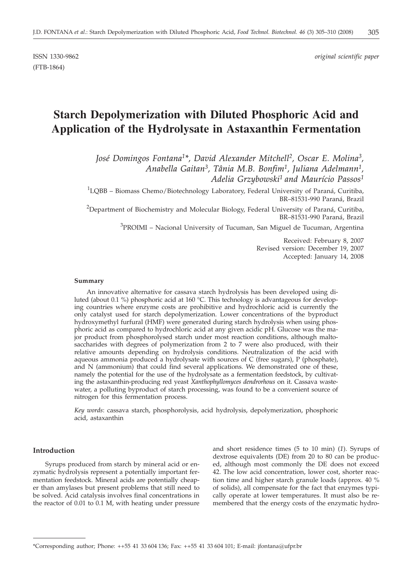ISSN 1330-9862 *original scientific paper*

# **Starch Depolymerization with Diluted Phosphoric Acid and Application of the Hydrolysate in Astaxanthin Fermentation**

*José Domingos Fontana1\*, David Alexander Mitchell2, Oscar E. Molina3, Anabella Gaitan3, Tânia M.B. Bonfim1, Juliana Adelmann1, Adelia Grzybowski1 and Maurício Passos1*

 ${}^{1}$ LQBB – Biomass Chemo/Biotechnology Laboratory, Federal University of Paraná, Curitiba, BR–81531-990 Paraná, Brazil

 $^{2}$ Department of Biochemistry and Molecular Biology, Federal University of Paraná, Curitiba, BR–81531-990 Paraná, Brazil

<sup>3</sup>PROIMI – Nacional University of Tucuman, San Miguel de Tucuman, Argentina

Received: February 8, 2007 Revised version: December 19, 2007 Accepted: January 14, 2008

#### **Summary**

An innovative alternative for cassava starch hydrolysis has been developed using diluted (about 0.1 %) phosphoric acid at 160 °C. This technology is advantageous for developing countries where enzyme costs are prohibitive and hydrochloric acid is currently the only catalyst used for starch depolymerization. Lower concentrations of the byproduct hydroxymethyl furfural (HMF) were generated during starch hydrolysis when using phosphoric acid as compared to hydrochloric acid at any given acidic pH. Glucose was the major product from phosphorolysed starch under most reaction conditions, although maltosaccharides with degrees of polymerization from 2 to 7 were also produced, with their relative amounts depending on hydrolysis conditions. Neutralization of the acid with aqueous ammonia produced a hydrolysate with sources of C (free sugars), P (phosphate), and N (ammonium) that could find several applications. We demonstrated one of these, namely the potential for the use of the hydrolysate as a fermentation feedstock, by cultivating the astaxanthin-producing red yeast *Xanthophyllomyces dendrorhous* on it. Cassava wastewater, a polluting byproduct of starch processing, was found to be a convenient source of nitrogen for this fermentation process.

*Key words*: cassava starch, phosphorolysis, acid hydrolysis, depolymerization, phosphoric acid, astaxanthin

## **Introduction**

Syrups produced from starch by mineral acid or enzymatic hydrolysis represent a potentially important fermentation feedstock. Mineral acids are potentially cheaper than amylases but present problems that still need to be solved. Acid catalysis involves final concentrations in the reactor of 0.01 to 0.1 M, with heating under pressure and short residence times (5 to 10 min) (*1*). Syrups of dextrose equivalents (DE) from 20 to 80 can be produced, although most commonly the DE does not exceed 42. The low acid concentration, lower cost, shorter reaction time and higher starch granule loads (approx. 40 % of solids), all compensate for the fact that enzymes typically operate at lower temperatures. It must also be remembered that the energy costs of the enzymatic hydro-

<sup>\*</sup>Corresponding author; Phone: ++55 41 33 604 136; Fax: ++55 41 33 604 101; E-mail: jfontana@ufpr.br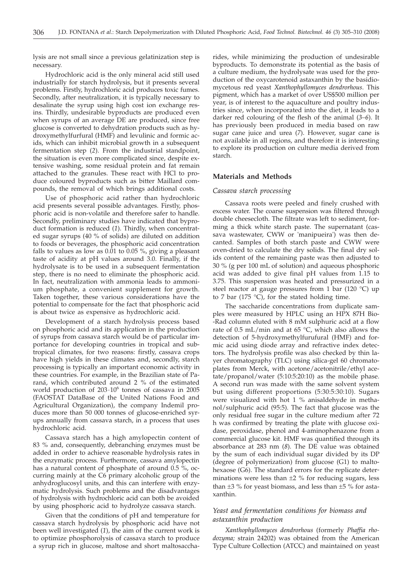lysis are not small since a previous gelatinization step is necessary.

Hydrochloric acid is the only mineral acid still used industrially for starch hydrolysis, but it presents several problems. Firstly, hydrochloric acid produces toxic fumes. Secondly, after neutralization, it is typically necessary to desalinate the syrup using high cost ion exchange resins. Thirdly, undesirable byproducts are produced even when syrups of an average DE are produced, since free glucose is converted to dehydration products such as hydroxymethylfurfural (HMF) and levulinic and formic acids, which can inhibit microbial growth in a subsequent fermentation step (*2*). From the industrial standpoint, the situation is even more complicated since, despite extensive washing, some residual protein and fat remain attached to the granules. These react with HCl to produce coloured byproducts such as bitter Maillard compounds, the removal of which brings additional costs.

Use of phosphoric acid rather than hydrochloric acid presents several possible advantages. Firstly, phosphoric acid is non-volatile and therefore safer to handle. Secondly, preliminary studies have indicated that byproduct formation is reduced (*1*). Thirdly, when concentrated sugar syrups (40 % of solids) are diluted on addition to foods or beverages, the phosphoric acid concentration falls to values as low as 0.01 to 0.05 %, giving a pleasant taste of acidity at pH values around 3.0. Finally, if the hydrolysate is to be used in a subsequent fermentation step, there is no need to eliminate the phosphoric acid. In fact, neutralization with ammonia leads to ammonium phosphate, a convenient supplement for growth. Taken together, these various considerations have the potential to compensate for the fact that phosphoric acid is about twice as expensive as hydrochloric acid.

Development of a starch hydrolysis process based on phosphoric acid and its application in the production of syrups from cassava starch would be of particular importance for developing countries in tropical and subtropical climates, for two reasons: firstly, cassava crops have high yields in these climates and, secondly, starch processing is typically an important economic activity in these countries. For example, in the Brazilian state of Paraná, which contributed around 2 % of the estimated world production of  $203 \cdot 10^6$  tonnes of cassava in 2005 (FAOSTAT DataBase of the United Nations Food and Agricultural Organization), the company Indemil produces more than 50 000 tonnes of glucose-enriched syrups annually from cassava starch, in a process that uses hydrochloric acid.

Cassava starch has a high amylopectin content of 83 % and, consequently, debranching enzymes must be added in order to achieve reasonable hydrolysis rates in the enzymatic process. Furthermore, cassava amylopectin has a natural content of phosphate of around 0.5  $\%$ , occurring mainly at the C6 primary alcoholic group of the anhydroglucosyl units, and this can interfere with enzymatic hydrolysis. Such problems and the disadvantages of hydrolysis with hydrochloric acid can both be avoided by using phosphoric acid to hydrolyze cassava starch.

Given that the conditions of pH and temperature for cassava starch hydrolysis by phosphoric acid have not been well investigated (*1*), the aim of the current work is to optimize phosphorolysis of cassava starch to produce a syrup rich in glucose, maltose and short maltosaccha-

rides, while minimizing the production of undesirable byproducts. To demonstrate its potential as the basis of a culture medium, the hydrolysate was used for the production of the oxycarotenoid astaxanthin by the basidiomycetous red yeast *Xanthophyllomyces dendrorhous*. This pigment, which has a market of over US\$500 million per year, is of interest to the aquaculture and poultry industries since, when incorporated into the diet, it leads to a darker red colouring of the flesh of the animal (*3–6*). It has previously been produced in media based on raw sugar cane juice and urea (*7*). However, sugar cane is not available in all regions, and therefore it is interesting to explore its production on culture media derived from starch.

## **Materials and Methods**

#### *Cassava starch processing*

Cassava roots were peeled and finely crushed with excess water. The coarse suspension was filtered through double cheesecloth. The filtrate was left to sediment, forming a thick white starch paste. The supernatant (cassava wastewater, CWW or 'manipueira') was then decanted. Samples of both starch paste and CWW were oven-dried to calculate the dry solids. The final dry solids content of the remaining paste was then adjusted to 30 % (g per 100 mL of solution) and aqueous phosphoric acid was added to give final pH values from 1.15 to 3.75. This suspension was heated and pressurized in a steel reactor at gauge pressures from 1 bar (120 °C) up to 7 bar (175  $^{\circ}$ C), for the stated holding time.

The saccharide concentrations from duplicate samples were measured by HPLC using an HPX 87H Bio- -Rad column eluted with 8 mM sulphuric acid at a flow rate of 0.5 mL/min and at 65 °C, which also allows the detection of 5-hydroxymethylfurufural (HMF) and formic acid using diode array and refractive index detectors. The hydrolysis profile was also checked by thin layer chromatography (TLC) using silica-gel 60 chromatoplates from Merck, with acetone/acetonitrile/ethyl acetate/propanol/water (5:10:5:20:10) as the mobile phase. A second run was made with the same solvent system but using different proportions (5:30:5:30:10). Sugars were visualized with hot 1 % anisaldehyde in methanol/sulphuric acid (95:5). The fact that glucose was the only residual free sugar in the culture medium after 72 h was confirmed by treating the plate with glucose oxidase, peroxidase, phenol and 4-aminophenazone from a commercial glucose kit. HMF was quantified through its absorbance at 283 nm (*8*). The DE value was obtained by the sum of each individual sugar divided by its DP (degree of polymerization) from glucose (G1) to maltohexaose (G6). The standard errors for the replicate determinations were less than ±2 % for reducing sugars, less than  $\pm 3$  % for yeast biomass, and less than  $\pm 5$  % for astaxanthin.

# *Yeast and fermentation conditions for biomass and astaxanthin production*

*Xanthophyllomyces dendrorhous* (formerly *Phaffia rhodozyma;* strain 24202) was obtained from the American Type Culture Collection (ATCC) and maintained on yeast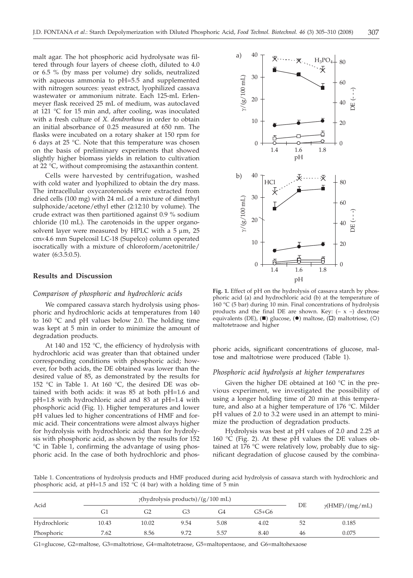malt agar. The hot phosphoric acid hydrolysate was filtered through four layers of cheese cloth, diluted to 4.0 or 6.5 % (by mass per volume) dry solids, neutralized with aqueous ammonia to pH=5.5 and supplemented with nitrogen sources: yeast extract, lyophilized cassava wastewater or ammonium nitrate. Each 125-mL Erlenmeyer flask received 25 mL of medium, was autoclaved at 121 °C for 15 min and, after cooling, was inoculated with a fresh culture of *X. dendrorhous* in order to obtain an initial absorbance of 0.25 measured at 650 nm. The flasks were incubated on a rotary shaker at 150 rpm for 6 days at 25 °C. Note that this temperature was chosen on the basis of preliminary experiments that showed slightly higher biomass yields in relation to cultivation at 22 °C, without compromising the astaxanthin content.

Cells were harvested by centrifugation, washed with cold water and lyophilized to obtain the dry mass. The intracellular oxycarotenoids were extracted from dried cells (100 mg) with 24 mL of a mixture of dimethyl sulphoxide/acetone/ethyl ether (2:12:10 by volume). The crude extract was then partitioned against 0.9 % sodium chloride (10 mL). The carotenoids in the upper organosolvent layer were measured by HPLC with a  $5 \mu m$ ,  $25$ cm´4.6 mm Supelcosil LC-18 (Supelco) column operated isocratically with a mixture of chloroform/acetonitrile/ water (6:3.5:0.5).

## **Results and Discussion**

#### *Comparison of phosphoric and hydrochloric acids*

We compared cassava starch hydrolysis using phosphoric and hydrochloric acids at temperatures from 140 to 160 °C and pH values below 2.0. The holding time was kept at 5 min in order to minimize the amount of degradation products.

At 140 and 152  $°C$ , the efficiency of hydrolysis with hydrochloric acid was greater than that obtained under corresponding conditions with phosphoric acid; however, for both acids, the DE obtained was lower than the desired value of 85, as demonstrated by the results for 152 °C in Table 1. At 160 °C, the desired DE was obtained with both acids: it was 85 at both pH=1.6 and pH=1.8 with hydrochloric acid and 83 at pH=1.4 with phosphoric acid (Fig. 1). Higher temperatures and lower pH values led to higher concentrations of HMF and formic acid. Their concentrations were almost always higher for hydrolysis with hydrochloric acid than for hydrolysis with phosphoric acid, as shown by the results for 152 °C in Table 1, confirming the advantage of using phosphoric acid. In the case of both hydrochloric and phos-



**Fig. 1.** Effect of pH on the hydrolysis of cassava starch by phosphoric acid (a) and hydrochloric acid (b) at the temperature of 160 °C (5 bar) during 10 min. Final concentrations of hydrolysis products and the final DE are shown. Key:  $(-x -)$  dextrose equivalents (DE),  $(\blacksquare)$  glucose,  $(\lozenge)$  maltose,  $(\square)$  maltotriose,  $(\bigcirc)$ maltotetraose and higher

phoric acids, significant concentrations of glucose, maltose and maltotriose were produced (Table 1).

## *Phosphoric acid hydrolysis at higher temperatures*

Given the higher DE obtained at 160 °C in the previous experiment, we investigated the possibility of using a longer holding time of 20 min at this temperature, and also at a higher temperature of 176 °C. Milder pH values of 2.0 to 3.2 were used in an attempt to minimize the production of degradation products.

Hydrolysis was best at pH values of 2.0 and 2.25 at 160 °C (Fig. 2). At these pH values the DE values obtained at 176 °C were relatively low, probably due to significant degradation of glucose caused by the combina-

Table 1. Concentrations of hydrolysis products and HMF produced during acid hydrolysis of cassava starch with hydrochloric and phosphoric acid, at pH=1.5 and 152  $\degree$ C (4 bar) with a holding time of 5 min

| Acid         | $\gamma$ (hydrolysis products)/(g/100 mL) |       |      |      |         |    |                        |
|--------------|-------------------------------------------|-------|------|------|---------|----|------------------------|
|              | G1                                        | G2    | G3   | G4   | $G5+G6$ | DE | $\gamma$ (HMF)/(mg/mL) |
| Hydrochloric | 10.43                                     | 10.02 | 9.54 | 5.08 | 4.02    | 52 | 0.185                  |
| Phosphoric   | 7.62                                      | 8.56  | 9.72 | 5.57 | 8.40    | 46 | 0.075                  |

G1=glucose, G2=maltose, G3=maltotriose, G4=maltotetraose, G5=maltopentaose, and G6=maltohexaose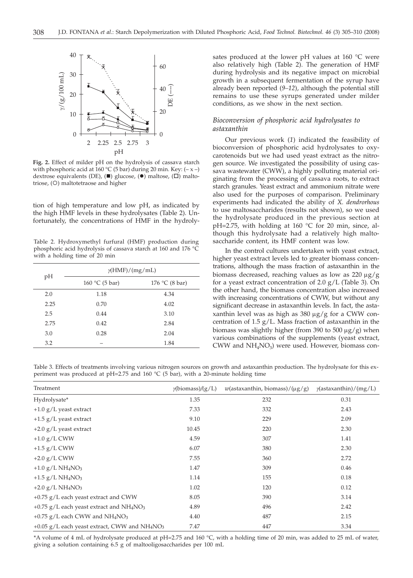

**Fig. 2.** Effect of milder pH on the hydrolysis of cassava starch with phosphoric acid at 160 °C (5 bar) during 20 min. Key:  $(-x -)$ dextrose equivalents (DE),  $(\blacksquare)$  glucose,  $(\lozenge)$  maltose,  $(\square)$  maltotriose, (O) maltotetraose and higher

tion of high temperature and low pH, as indicated by the high HMF levels in these hydrolysates (Table 2). Unfortunately, the concentrations of HMF in the hydroly-

Table 2. Hydroxymethyl furfural (HMF) production during phosphoric acid hydrolysis of cassava starch at 160 and 176 °C with a holding time of 20 min

|      | $\gamma$ (HMF)/(mg/mL) |                |  |  |  |  |
|------|------------------------|----------------|--|--|--|--|
| pH   | 160 °C (5 bar)         | 176 °C (8 bar) |  |  |  |  |
| 2.0  | 1.18                   | 4.34           |  |  |  |  |
| 2.25 | 0.70                   | 4.02           |  |  |  |  |
| 2.5  | 0.44                   | 3.10           |  |  |  |  |
| 2.75 | 0.42                   | 2.84           |  |  |  |  |
| 3.0  | 0.28                   | 2.04           |  |  |  |  |
| 3.2  |                        | 1.84           |  |  |  |  |

sates produced at the lower pH values at 160 °C were also relatively high (Table 2). The generation of HMF during hydrolysis and its negative impact on microbial growth in a subsequent fermentation of the syrup have already been reported (*9–12*), although the potential still remains to use these syrups generated under milder conditions, as we show in the next section.

# *Bioconversion of phosphoric acid hydrolysates to astaxanthin*

Our previous work (*1*) indicated the feasibility of bioconversion of phosphoric acid hydrolysates to oxycarotenoids but we had used yeast extract as the nitrogen source. We investigated the possibility of using cassava wastewater (CWW), a highly polluting material originating from the processing of cassava roots, to extract starch granules. Yeast extract and ammonium nitrate were also used for the purposes of comparison. Preliminary experiments had indicated the ability of *X. dendrorhous* to use maltosaccharides (results not shown), so we used the hydrolysate produced in the previous section at  $pH=2.75$ , with holding at 160 °C for 20 min, since, although this hydrolysate had a relatively high maltosaccharide content, its HMF content was low.

In the control cultures undertaken with yeast extract, higher yeast extract levels led to greater biomass concentrations, although the mass fraction of astaxanthin in the biomass decreased, reaching values as low as  $220 \mu g/g$ for a yeast extract concentration of 2.0  $g/L$  (Table 3). On the other hand, the biomass concentration also increased with increasing concentrations of CWW, but without any significant decrease in astaxanthin levels. In fact, the astaxanthin level was as high as 380  $\mu$ g/g for a CWW concentration of  $1.5$  g/L. Mass fraction of astaxanthin in the biomass was slightly higher (from 390 to 500  $\mu$ g/g) when various combinations of the supplements (yeast extract, CWW and  $NH<sub>4</sub>NO<sub>3</sub>$ ) were used. However, biomass con-

Table 3. Effects of treatments involving various nitrogen sources on growth and astaxanthin production. The hydrolysate for this experiment was produced at pH=2.75 and 160 °C (5 bar), with a 20-minute holding time

| Treatment                                                               | $\gamma$ (biomass)/(g/L) | $w$ (astaxanthin, biomass)/ $(\mu g/g)$ | $\gamma$ (astaxanthin)/(mg/L) |
|-------------------------------------------------------------------------|--------------------------|-----------------------------------------|-------------------------------|
| Hydrolysate*                                                            | 1.35                     | 232                                     | 0.31                          |
| $+1.0$ g/L yeast extract                                                | 7.33                     | 332                                     | 2.43                          |
| $+1.5$ g/L yeast extract                                                | 9.10                     | 229                                     | 2.09                          |
| $+2.0$ g/L yeast extract                                                | 10.45                    | 220                                     | 2.30                          |
| $+1.0$ g/L CWW                                                          | 4.59                     | 307                                     | 1.41                          |
| $+1.5$ g/L CWW                                                          | 6.07                     | 380                                     | 2.30                          |
| $+2.0$ g/L CWW                                                          | 7.55                     | 360                                     | 2.72                          |
| $+1.0$ g/L NH <sub>4</sub> NO <sub>3</sub>                              | 1.47                     | 309                                     | 0.46                          |
| $+1.5$ g/L NH <sub>4</sub> NO <sub>3</sub>                              | 1.14                     | 155                                     | 0.18                          |
| +2.0 $g/L$ NH <sub>4</sub> NO <sub>3</sub>                              | 1.02                     | 120                                     | 0.12                          |
| $+0.75$ g/L each yeast extract and CWW                                  | 8.05                     | 390                                     | 3.14                          |
| +0.75 g/L each yeast extract and NH <sub>4</sub> NO <sub>3</sub>        | 4.89                     | 496                                     | 2.42                          |
| $+0.75$ g/L each CWW and NH <sub>4</sub> NO <sub>3</sub>                | 4.40                     | 487                                     | 2.15                          |
| +0.05 $g/L$ each yeast extract, CWW and NH <sub>4</sub> NO <sub>3</sub> | 7.47                     | 447                                     | 3.34                          |

\*A volume of 4 mL of hydrolysate produced at pH=2.75 and 160 °C, with a holding time of 20 min, was added to 25 mL of water, giving a solution containing 6.5 g of maltooligosaccharides per 100 mL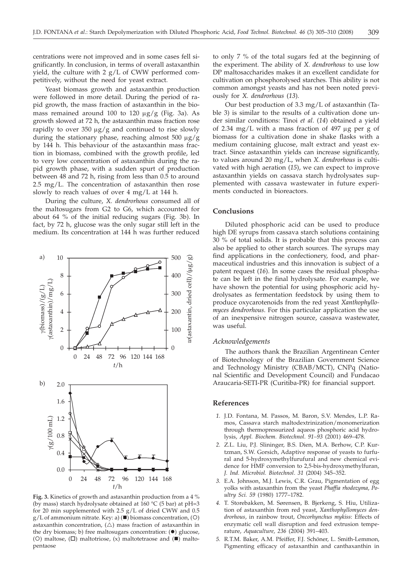centrations were not improved and in some cases fell significantly. In conclusion, in terms of overall astaxanthin yield, the culture with 2 g/L of CWW performed competitively, without the need for yeast extract.

Yeast biomass growth and astaxanthin production were followed in more detail. During the period of rapid growth, the mass fraction of astaxanthin in the biomass remained around 100 to 120  $\mu$ g/g (Fig. 3a). As growth slowed at 72 h, the astaxanthin mass fraction rose rapidly to over 350  $\mu$ g/g and continued to rise slowly during the stationary phase, reaching almost  $500 \mu g/g$ by 144 h. This behaviour of the astaxanthin mass fraction in biomass, combined with the growth profile, led to very low concentration of astaxanthin during the rapid growth phase, with a sudden spurt of production between 48 and 72 h, rising from less than 0.5 to around 2.5 mg/L. The concentration of astaxanthin then rose slowly to reach values of over 4 mg/L at 144 h.

During the culture, *X. dendrorhous* consumed all of the maltosugars from G2 to G6, which accounted for about 64 % of the initial reducing sugars (Fig. 3b). In fact, by 72 h, glucose was the only sugar still left in the medium. Its concentration at 144 h was further reduced



Fig. 3. Kinetics of growth and astaxanthin production from a 4 % (by mass) starch hydrolysate obtained at 160  $^{\circ}$ C (5 bar) at pH=3 for 20 min supplemented with 2.5 g/L of dried CWW and 0.5  $g/L$  of ammonium nitrate. Key: a) ( $\blacksquare$ ) biomass concentration, (O) astaxanthin concentration,  $(\triangle)$  mass fraction of astaxanthin in the dry biomass; b) free maltosugars concentration:  $(•)$  glucose, (O) maltose,  $(\Box)$  maltotriose,  $(x)$  maltotetraose and  $(\blacksquare)$  maltopentaose

to only 7 % of the total sugars fed at the beginning of the experiment. The ability of *X. dendrorhous* to use low DP maltosaccharides makes it an excellent candidate for cultivation on phosphorolysed starches. This ability is not common amongst yeasts and has not been noted previously for *X. dendrorhous* (*13*).

Our best production of 3.3 mg/L of astaxanthin (Table 3) is similar to the results of a cultivation done under similar conditions: Tinoi *et al*. (*14*) obtained a yield of 2.34 mg/L with a mass fraction of 497  $\mu$ g per g of biomass for a cultivation done in shake flasks with a medium containing glucose, malt extract and yeast extract. Since astaxanthin yields can increase significantly, to values around 20 mg/L, when *X. dendrorhous* is cultivated with high aeration (*15*), we can expect to improve astaxanthin yields on cassava starch hydrolysates supplemented with cassava wastewater in future experiments conducted in bioreactors.

## **Conclusions**

Diluted phosphoric acid can be used to produce high DE syrups from cassava starch solutions containing 30 % of total solids. It is probable that this process can also be applied to other starch sources. The syrups may find applications in the confectionery, food, and pharmaceutical industries and this innovation is subject of a patent request (*16*). In some cases the residual phosphate can be left in the final hydrolysate. For example, we have shown the potential for using phosphoric acid hydrolysates as fermentation feedstock by using them to produce oxycarotenoids from the red yeast *Xanthophyllomyces dendrorhous*. For this particular application the use of an inexpensive nitrogen source, cassava wastewater, was useful.

#### *Acknowledgements*

The authors thank the Brazilian Argentinean Center of Biotechnology of the Brazilian Government Science and Technology Ministry (CBAB/MCT), CNPq (National Scientific and Development Council) and Fundacao Araucaria-SETI-PR (Curitiba-PR) for financial support.

## **References**

- *1.* J.D. Fontana, M. Passos, M. Baron, S.V. Mendes, L.P. Ramos, Cassava starch maltodextrinization/monomerization through thermopressurized aqueos phosphoric acid hydrolysis, *Appl. Biochem. Biotechnol*. *91–93* (2001) 469–478.
- *2.* Z.L. Liu, P.J. Slininger, B.S. Dien, M.A. Berhow, C.P. Kurtzman, S.W. Gorsich, Adaptive response of yeasts to furfural and 5-hydroxymethylfurufural and new chemical evidence for HMF conversion to 2,5-bis-hydroxymethylfuran, *J. Ind. Microbiol. Biotechnol*. *31* (2004) 345–352.
- *3.* E.A. Johnson, M.J. Lewis, C.R. Grau, Pigmentation of egg yolks with astaxanthin from the yeast *Phaffia rhodozyma*, *Poultry Sci. 59* (1980) 1777–1782.
- *4.* T. Storebakken, M. Sørensen, B. Bjerkeng, S. Hiu, Utilization of astaxanthin from red yeast, *Xanthophyllomyces dendrorhous*, in rainbow trout, *Oncorhynchus mykiss*: Effects of enzymatic cell wall disruption and feed extrusion temperature, *Aquaculture, 236* (2004) 391–403.
- *5.* R.T.M. Baker, A.M. Pfeiffer, F.J. Schöner, L. Smith-Lemmon, Pigmenting efficacy of astaxanthin and canthaxanthin in